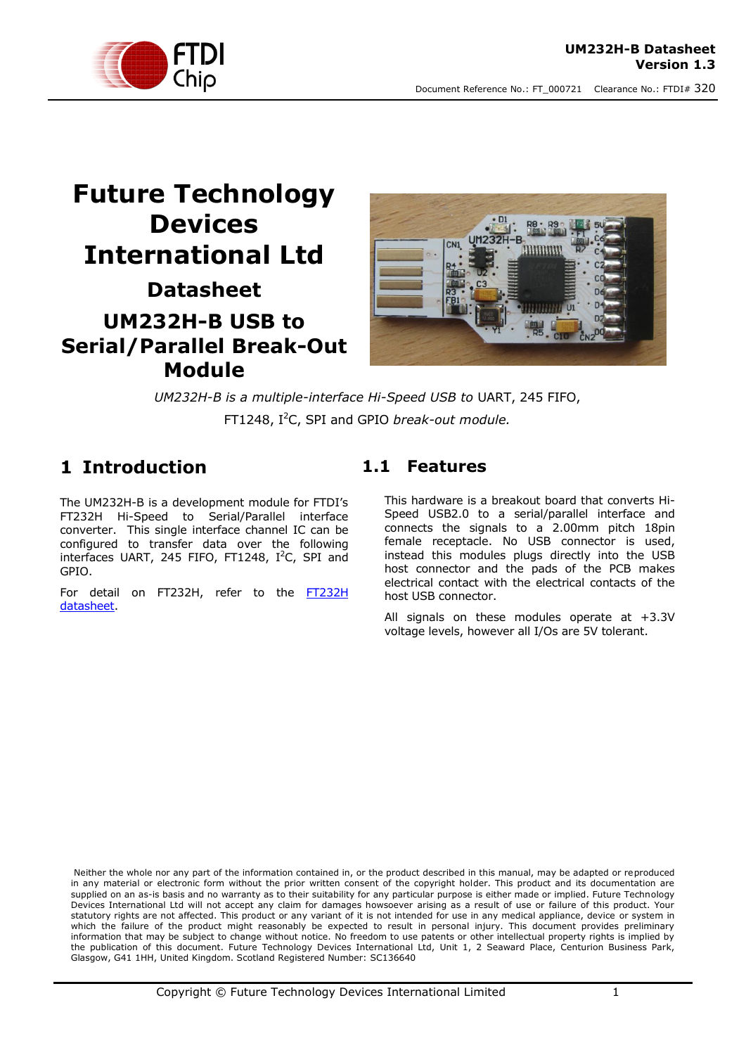

# **Future Technology Devices International Ltd Datasheet UM232H-B USB to Serial/Parallel Break-Out Module**



*UM232H-B is a multiple-interface Hi-Speed USB to* UART, 245 FIFO, FT1248, I<sup>2</sup>C, SPI and GPIO *break-out module.*

## <span id="page-0-0"></span>**1 Introduction**

The UM232H-B is a development module for FTDI's FT232H Hi-Speed to Serial/Parallel interface converter. This single interface channel IC can be configured to transfer data over the following interfaces UART, 245 FIFO, FT1248,  $I^2C$ , SPI and GPIO.

For detail on FT232H, refer to the FT232H [datasheet.](http://www.ftdichip.com/Support/Documents/DataSheets/ICs/DS_FT232H.pdf)

#### <span id="page-0-1"></span>**1.1 Features**

This hardware is a breakout board that converts Hi-Speed USB2.0 to a serial/parallel interface and connects the signals to a 2.00mm pitch 18pin female receptacle. No USB connector is used, instead this modules plugs directly into the USB host connector and the pads of the PCB makes electrical contact with the electrical contacts of the host USB connector.

All signals on these modules operate at +3.3V voltage levels, however all I/Os are 5V tolerant.

Neither the whole nor any part of the information contained in, or the product described in this manual, may be adapted or reproduced in any material or electronic form without the prior written consent of the copyright holder. This product and its documentation are supplied on an as-is basis and no warranty as to their suitability for any particular purpose is either made or implied. Future Technology Devices International Ltd will not accept any claim for damages howsoever arising as a result of use or failure of this product. Your statutory rights are not affected. This product or any variant of it is not intended for use in any medical appliance, device or system in which the failure of the product might reasonably be expected to result in personal injury. This document provides preliminary information that may be subject to change without notice. No freedom to use patents or other intellectual property rights is implied by the publication of this document. Future Technology Devices International Ltd, Unit 1, 2 Seaward Place, Centurion Business Park, Glasgow, G41 1HH, United Kingdom. Scotland Registered Number: SC136640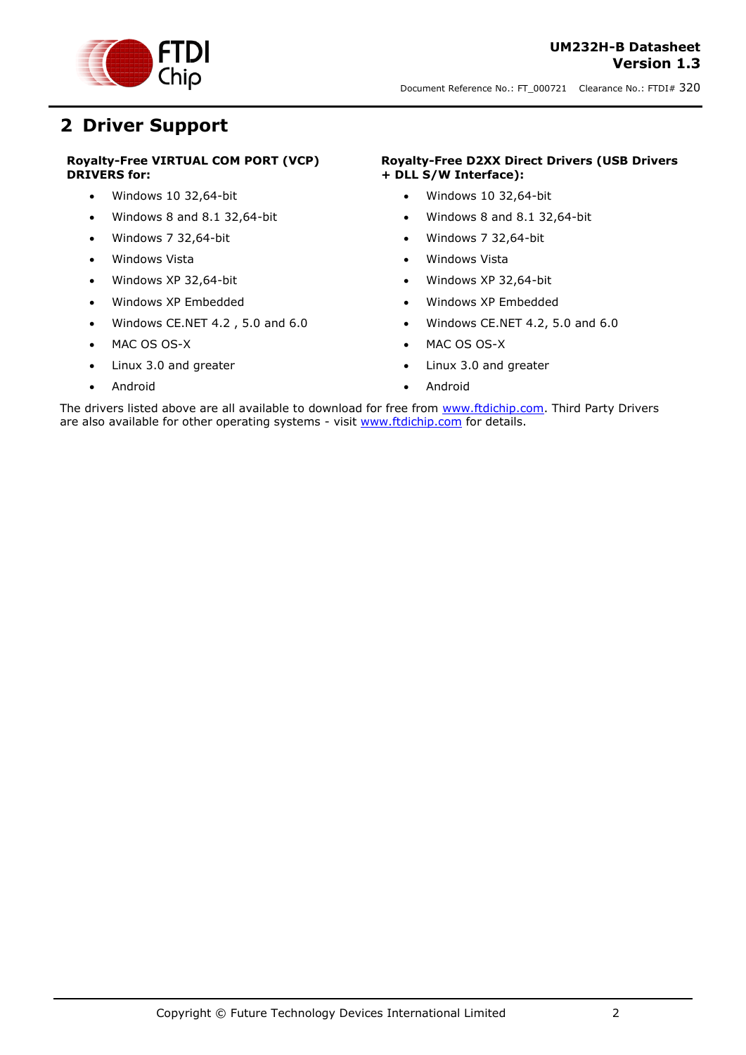

## <span id="page-1-0"></span>**2 Driver Support**

#### **Royalty-Free VIRTUAL COM PORT (VCP) DRIVERS for:**

- Windows 10 32,64-bit
- $\bullet$  Windows 8 and 8.1 32,64-bit
- Windows 7 32,64-bit
- Windows Vista
- Windows XP 32,64-bit
- Windows XP Embedded
- Windows CE.NET 4.2 , 5.0 and 6.0
- MAC OS OS-X
- Linux 3.0 and greater
- Android

#### **Royalty-Free D2XX Direct Drivers (USB Drivers + DLL S/W Interface):**

- Windows 10 32,64-bit
- Windows 8 and 8.1 32,64-bit
- Windows 7 32,64-bit
- Windows Vista
- Windows XP 32,64-bit
- Windows XP Embedded
- Windows CE.NET 4.2, 5.0 and 6.0
- MAC OS OS-X
- Linux 3.0 and greater
- Android

The drivers listed above are all available to download for free from [www.ftdichip.com.](http://www.ftdichip.com/) Third Party Drivers are also available for other operating systems - visit [www.ftdichip.com](http://www.ftdichip.com/) for details.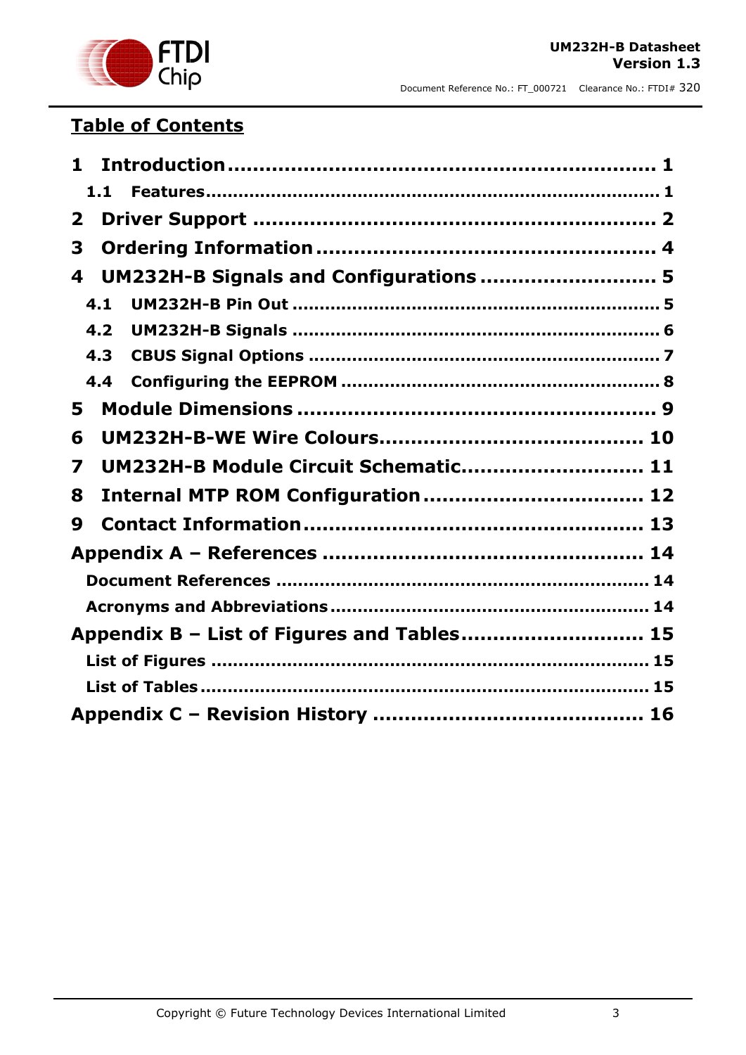

## **Table of Contents**

| 1            |                                            |  |
|--------------|--------------------------------------------|--|
| 1.1          |                                            |  |
| $\mathbf{2}$ |                                            |  |
| 3            |                                            |  |
| 4            | UM232H-B Signals and Configurations  5     |  |
| 4.1          |                                            |  |
| 4.2          |                                            |  |
| 4.3          |                                            |  |
| 4.4          |                                            |  |
| 5            |                                            |  |
| 6            |                                            |  |
| 7            | UM232H-B Module Circuit Schematic 11       |  |
| 8            |                                            |  |
| 9            |                                            |  |
|              |                                            |  |
|              |                                            |  |
|              |                                            |  |
|              | Appendix B - List of Figures and Tables 15 |  |
|              |                                            |  |
|              |                                            |  |
|              |                                            |  |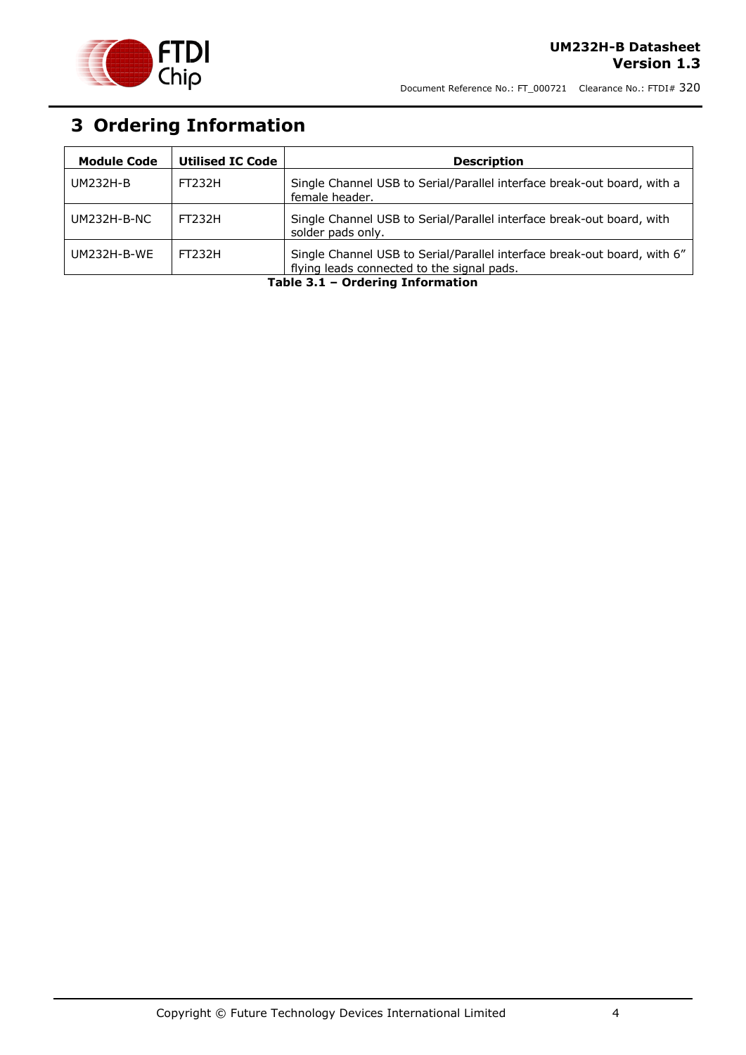

# <span id="page-3-0"></span>**3 Ordering Information**

<span id="page-3-1"></span>

| <b>Module Code</b> | <b>Utilised IC Code</b> | <b>Description</b>                                                                                                     |
|--------------------|-------------------------|------------------------------------------------------------------------------------------------------------------------|
| UM232H-B           | FT232H                  | Single Channel USB to Serial/Parallel interface break-out board, with a<br>female header.                              |
| $UM232H-B-NC$      | <b>FT232H</b>           | Single Channel USB to Serial/Parallel interface break-out board, with<br>solder pads only.                             |
| <b>UM232H-B-WE</b> | <b>FT232H</b>           | Single Channel USB to Serial/Parallel interface break-out board, with 6"<br>flying leads connected to the signal pads. |

**Table 3.1 – Ordering Information**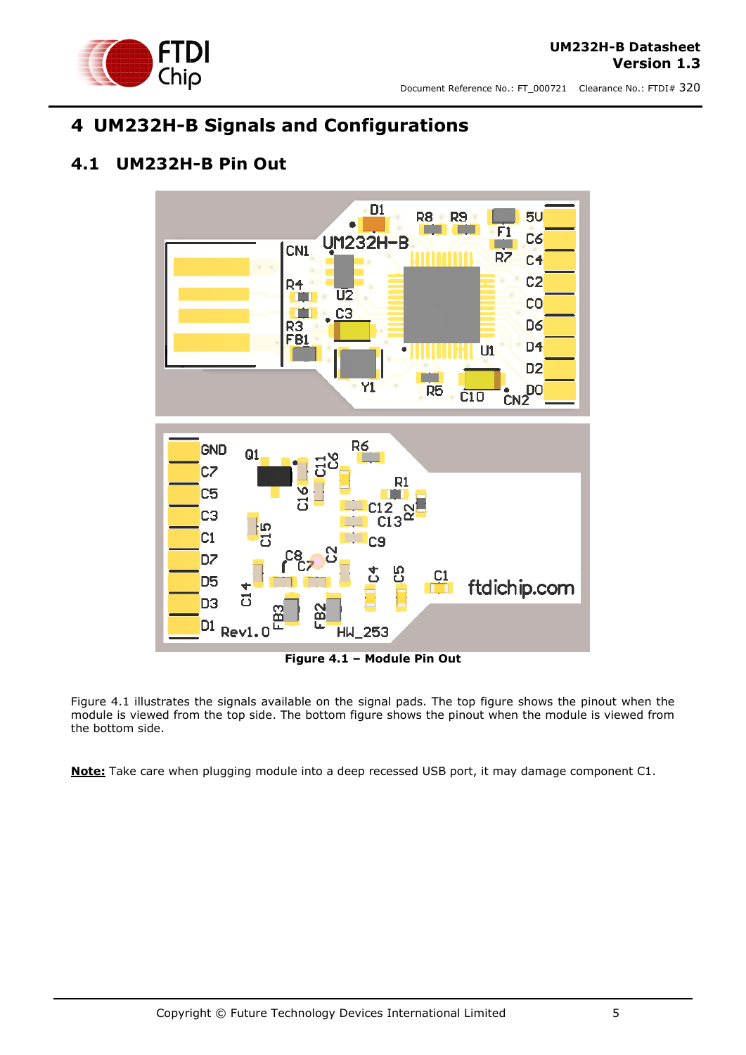

## <span id="page-4-0"></span>**4 UM232H-B Signals and Configurations**

#### <span id="page-4-1"></span>**4.1 UM232H-B Pin Out**



**Figure 4.1 – Module Pin Out**

<span id="page-4-2"></span>Figure 4.1 illustrates the signals available on the signal pads. The top figure shows the pinout when the module is viewed from the top side. The bottom figure shows the pinout when the module is viewed from the bottom side.

**Note:** Take care when plugging module into a deep recessed USB port, it may damage component C1.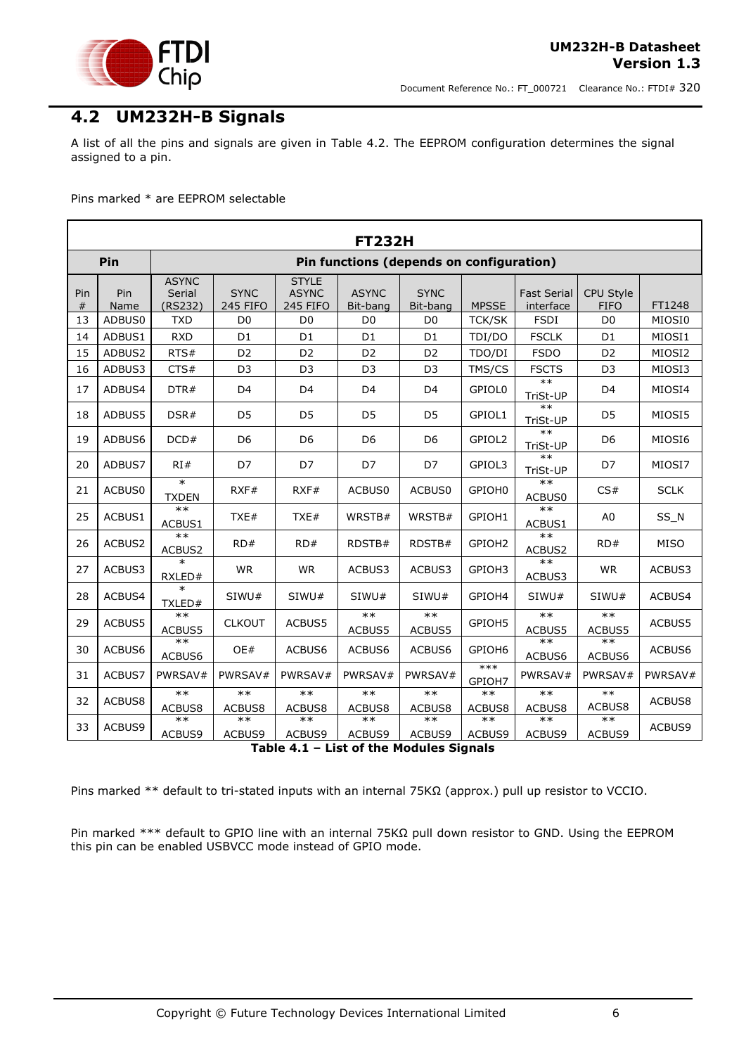

#### <span id="page-5-0"></span>**4.2 UM232H-B Signals**

A list of all the pins and signals are given in [Table 4.2.](#page-6-1) The EEPROM configuration determines the signal assigned to a pin.

Pins marked \* are EEPROM selectable

|          | <b>FT232H</b>                                   |                                   |                                |                                                 |                          |                         |                    |                                 |                                 |                 |
|----------|-------------------------------------------------|-----------------------------------|--------------------------------|-------------------------------------------------|--------------------------|-------------------------|--------------------|---------------------------------|---------------------------------|-----------------|
|          | Pin<br>Pin functions (depends on configuration) |                                   |                                |                                                 |                          |                         |                    |                                 |                                 |                 |
| Pin<br># | Pin<br>Name                                     | <b>ASYNC</b><br>Serial<br>(RS232) | <b>SYNC</b><br><b>245 FIFO</b> | <b>STYLE</b><br><b>ASYNC</b><br><b>245 FIFO</b> | <b>ASYNC</b><br>Bit-bang | <b>SYNC</b><br>Bit-bang | <b>MPSSE</b>       | <b>Fast Serial</b><br>interface | <b>CPU Style</b><br><b>FIFO</b> | FT1248          |
| 13       | ADBUS0                                          | <b>TXD</b>                        | D <sub>0</sub>                 | D <sub>0</sub>                                  | D <sub>0</sub>           | D <sub>0</sub>          | <b>TCK/SK</b>      | <b>FSDI</b>                     | D <sub>0</sub>                  | MIOSI0          |
| 14       | ADBUS1                                          | <b>RXD</b>                        | D <sub>1</sub>                 | D <sub>1</sub>                                  | D <sub>1</sub>           | D <sub>1</sub>          | TDI/DO             | <b>FSCLK</b>                    | D <sub>1</sub>                  | MIOSI1          |
| 15       | ADBUS2                                          | RTS#                              | D <sub>2</sub>                 | D <sub>2</sub>                                  | D <sub>2</sub>           | D <sub>2</sub>          | TDO/DI             | <b>FSDO</b>                     | D <sub>2</sub>                  | MIOSI2          |
| 16       | ADBUS3                                          | CTS#                              | D <sub>3</sub>                 | D <sub>3</sub>                                  | D <sub>3</sub>           | D <sub>3</sub>          | TMS/CS             | <b>FSCTS</b>                    | D <sub>3</sub>                  | MIOSI3          |
| 17       | ADBUS4                                          | DTR#                              | D <sub>4</sub>                 | D <sub>4</sub>                                  | D <sub>4</sub>           | D <sub>4</sub>          | GPIOL0             | $**$<br>TriSt-UP                | D <sub>4</sub>                  | MIOSI4          |
| 18       | ADBUS5                                          | DSR#                              | D <sub>5</sub>                 | D <sub>5</sub>                                  | D <sub>5</sub>           | D <sub>5</sub>          | GPIOL1             | $***$<br>TriSt-UP               | D <sub>5</sub>                  | MIOSI5          |
| 19       | ADBUS6                                          | DCD#                              | D <sub>6</sub>                 | D <sub>6</sub>                                  | D <sub>6</sub>           | D <sub>6</sub>          | GPIOL2             | $**$<br>TriSt-UP                | D <sub>6</sub>                  | MIOSI6          |
| 20       | ADBUS7                                          | RI#                               | D7                             | D7                                              | D7                       | D7                      | GPIOL3             | $**$<br>TriSt-UP                | D7                              | MIOSI7          |
| 21       | ACBUS0                                          | $\ast$<br><b>TXDEN</b>            | RXF#                           | RXF#                                            | ACBUS0                   | ACBUS0                  | GPIOH0             | $**$<br>ACBUS0                  | CS#                             | <b>SCLK</b>     |
| 25       | ACBUS1                                          | $**$<br>ACBUS1                    | TXE#                           | TXE#                                            | WRSTB#                   | WRSTB#                  | GPIOH1             | $**$<br>ACBUS1                  | A <sub>0</sub>                  | SS <sub>N</sub> |
| 26       | ACBUS2                                          | $**$<br>ACBUS2                    | RD#                            | RD#                                             | RDSTB#                   | RDSTB#                  | GPIOH <sub>2</sub> | $**$<br>ACBUS2                  | RD#                             | <b>MISO</b>     |
| 27       | ACBUS3                                          | $\ast$<br>RXLED#                  | <b>WR</b>                      | <b>WR</b>                                       | ACBUS3                   | ACBUS3                  | GPIOH3             | $**$<br>ACBUS3                  | <b>WR</b>                       | ACBUS3          |
| 28       | ACBUS4                                          | $\ast$<br>TXLED#                  | SIWU#                          | SIWU#                                           | SIWU#                    | SIWU#                   | GPIOH4             | SIWU#                           | SIWU#                           | ACBUS4          |
| 29       | ACBUS5                                          | $**$<br>ACBUS5                    | <b>CLKOUT</b>                  | ACBUS5                                          | $**$<br>ACBUS5           | $***$<br>ACBUS5         | GPIOH5             | $**$<br>ACBUS5                  | $***$<br>ACBUS5                 | ACBUS5          |
| 30       | ACBUS6                                          | $**$<br>ACBUS6                    | OE#                            | ACBUS6                                          | ACBUS6                   | ACBUS6                  | GPIOH6             | $**$<br>ACBUS6                  | $***$<br>ACBUS6                 | ACBUS6          |
| 31       | ACBUS7                                          | PWRSAV#                           | PWRSAV#                        | PWRSAV#                                         | PWRSAV#                  | PWRSAV#                 | $***$<br>GPIOH7    | PWRSAV#                         | PWRSAV#                         | PWRSAV#         |
| 32       | ACBUS8                                          | $***$<br>ACBUS8                   | $***$<br>ACBUS8                | $***$<br>ACBUS8                                 | $***$<br>ACBUS8          | $***$<br>ACBUS8         | $***$<br>ACBUS8    | $**$<br>ACBUS8                  | $***$<br>ACBUS8                 | ACBUS8          |
| 33       | ACBUS9                                          | $***$                             | $***$                          | $**$                                            | $**$                     | $**$                    | $**$               | $**$                            | $**$                            | ACBUS9          |
|          |                                                 | ACBUS9                            | ACBUS9                         | ACBUS9<br>$\mathbf{r}$ , $\mathbf{r}$           | ACBUS9                   | ACBUS9<br>$\sim$        | ACBUS9             | ACBUS9                          | ACBUS9                          |                 |

#### **Table 4.1 – List of the Modules Signals**

<span id="page-5-1"></span>Pins marked \*\* default to tri-stated inputs with an internal 75KΩ (approx.) pull up resistor to VCCIO.

Pin marked \*\*\* default to GPIO line with an internal 75KΩ pull down resistor to GND. Using the EEPROM this pin can be enabled USBVCC mode instead of GPIO mode.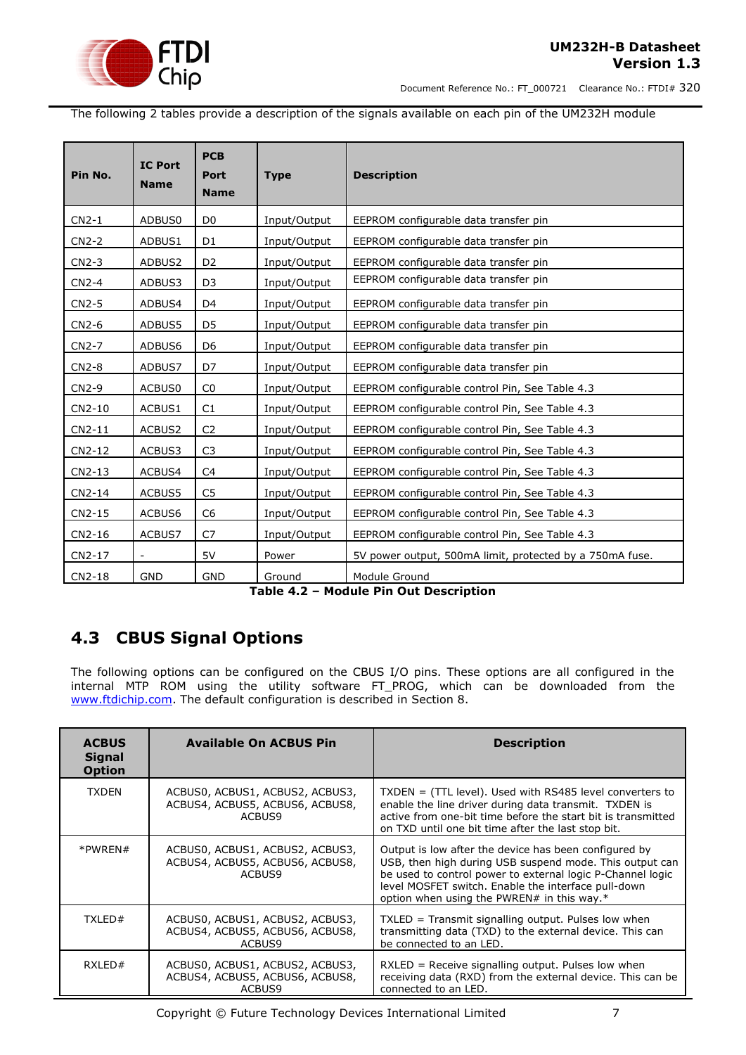

Document Reference No.: FT\_000721 Clearance No.: FTDI# 320

The following 2 tables provide a description of the signals available on each pin of the UM232H module

| Pin No. | <b>IC Port</b><br><b>Name</b> | <b>PCB</b><br><b>Port</b><br><b>Name</b> | <b>Type</b>  | <b>Description</b>                                       |  |
|---------|-------------------------------|------------------------------------------|--------------|----------------------------------------------------------|--|
| $CN2-1$ | ADBUS0                        | D <sub>0</sub>                           | Input/Output | EEPROM configurable data transfer pin                    |  |
| $CN2-2$ | ADBUS1                        | D <sub>1</sub>                           | Input/Output | EEPROM configurable data transfer pin                    |  |
| $CN2-3$ | ADBUS2                        | D <sub>2</sub>                           | Input/Output | EEPROM configurable data transfer pin                    |  |
| $CN2-4$ | ADBUS3                        | D <sub>3</sub>                           | Input/Output | EEPROM configurable data transfer pin                    |  |
| $CN2-5$ | ADBUS4                        | D <sub>4</sub>                           | Input/Output | EEPROM configurable data transfer pin                    |  |
| CN2-6   | ADBUS5                        | D <sub>5</sub>                           | Input/Output | EEPROM configurable data transfer pin                    |  |
| CN2-7   | ADBUS6                        | D <sub>6</sub>                           | Input/Output | EEPROM configurable data transfer pin                    |  |
| $CN2-8$ | ADBUS7                        | D7                                       | Input/Output | EEPROM configurable data transfer pin                    |  |
| CN2-9   | ACBUS0                        | CO                                       | Input/Output | EEPROM configurable control Pin, See Table 4.3           |  |
| CN2-10  | ACBUS1                        | C1                                       | Input/Output | EEPROM configurable control Pin, See Table 4.3           |  |
| CN2-11  | ACBUS2                        | C <sub>2</sub>                           | Input/Output | EEPROM configurable control Pin, See Table 4.3           |  |
| CN2-12  | ACBUS3                        | C <sub>3</sub>                           | Input/Output | EEPROM configurable control Pin, See Table 4.3           |  |
| CN2-13  | ACBUS4                        | C <sub>4</sub>                           | Input/Output | EEPROM configurable control Pin, See Table 4.3           |  |
| CN2-14  | ACBUS5                        | C <sub>5</sub>                           | Input/Output | EEPROM configurable control Pin, See Table 4.3           |  |
| CN2-15  | ACBUS6                        | C <sub>6</sub>                           | Input/Output | EEPROM configurable control Pin, See Table 4.3           |  |
| CN2-16  | ACBUS7                        | C <sub>7</sub>                           | Input/Output | EEPROM configurable control Pin, See Table 4.3           |  |
| CN2-17  | $\blacksquare$                | 5V                                       | Power        | 5V power output, 500mA limit, protected by a 750mA fuse. |  |
| CN2-18  | <b>GND</b>                    | <b>GND</b>                               | Ground       | Module Ground                                            |  |

**Table 4.2 – Module Pin Out Description**

#### <span id="page-6-1"></span><span id="page-6-0"></span>**4.3 CBUS Signal Options**

The following options can be configured on the CBUS I/O pins. These options are all configured in the internal MTP ROM using the utility software FT\_PROG, which can be downloaded from the [www.ftdichip.com.](http://www.ftdichip.com/) The default configuration is described in Section [8.](#page-11-0)

| <b>ACBUS</b><br><b>Signal</b><br><b>Option</b>                                               | <b>Available On ACBUS Pin</b>                                                | <b>Description</b>                                                                                                                                                                                                                                                                     |  |
|----------------------------------------------------------------------------------------------|------------------------------------------------------------------------------|----------------------------------------------------------------------------------------------------------------------------------------------------------------------------------------------------------------------------------------------------------------------------------------|--|
| <b>TXDEN</b><br>ACBUS0, ACBUS1, ACBUS2, ACBUS3,<br>ACBUS4, ACBUS5, ACBUS6, ACBUS8,<br>ACBUS9 |                                                                              | $TXDEN = (TTL level)$ . Used with RS485 level converters to<br>enable the line driver during data transmit. TXDEN is<br>active from one-bit time before the start bit is transmitted<br>on TXD until one bit time after the last stop bit.                                             |  |
| *PWREN#                                                                                      | ACBUS0, ACBUS1, ACBUS2, ACBUS3,<br>ACBUS4, ACBUS5, ACBUS6, ACBUS8,<br>ACBUS9 | Output is low after the device has been configured by<br>USB, then high during USB suspend mode. This output can<br>be used to control power to external logic P-Channel logic<br>level MOSFET switch. Enable the interface pull-down<br>option when using the PWREN# in this way. $*$ |  |
| TXLED#<br>ACBUS0, ACBUS1, ACBUS2, ACBUS3,<br>ACBUS4, ACBUS5, ACBUS6, ACBUS8,<br>ACBUS9       |                                                                              | $TXLED = Transmit signaling output. Pulses low when$<br>transmitting data (TXD) to the external device. This can<br>be connected to an LED.                                                                                                                                            |  |
| RXLED#<br>ACBUS0, ACBUS1, ACBUS2, ACBUS3,<br>ACBUS4, ACBUS5, ACBUS6, ACBUS8,<br>ACBUS9       |                                                                              | RXLED = Receive signalling output. Pulses low when<br>receiving data (RXD) from the external device. This can be<br>connected to an LED.                                                                                                                                               |  |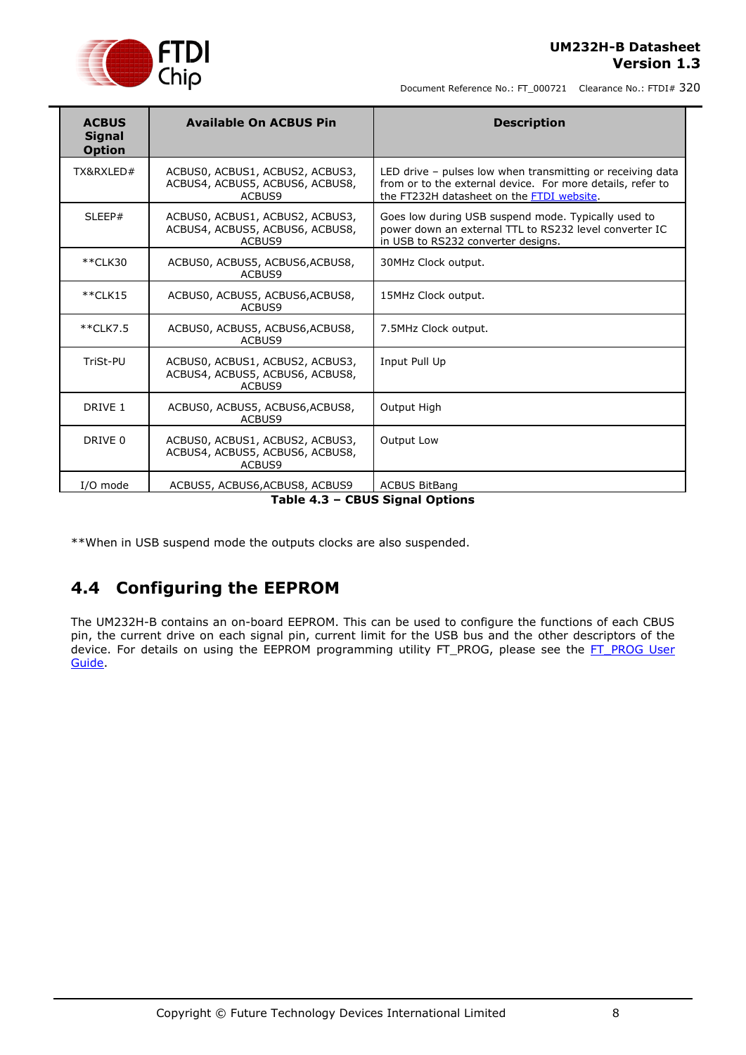

Document Reference No.: FT\_000721 Clearance No.: FTDI# 320

| <b>ACBUS</b><br><b>Signal</b><br><b>Option</b> | <b>Available On ACBUS Pin</b>                                                                                                                                                                                                       | <b>Description</b>                                                                                                                                                    |  |
|------------------------------------------------|-------------------------------------------------------------------------------------------------------------------------------------------------------------------------------------------------------------------------------------|-----------------------------------------------------------------------------------------------------------------------------------------------------------------------|--|
| TX&RXLED#                                      | ACBUS0, ACBUS1, ACBUS2, ACBUS3,<br>ACBUS4, ACBUS5, ACBUS6, ACBUS8,<br>ACBUS9                                                                                                                                                        | LED drive - pulses low when transmitting or receiving data<br>from or to the external device. For more details, refer to<br>the FT232H datasheet on the FTDI website. |  |
| SLEEP#                                         | ACBUS0, ACBUS1, ACBUS2, ACBUS3,<br>Goes low during USB suspend mode. Typically used to<br>power down an external TTL to RS232 level converter IC<br>ACBUS4, ACBUS5, ACBUS6, ACBUS8,<br>in USB to RS232 converter designs.<br>ACBUS9 |                                                                                                                                                                       |  |
| **CLK30                                        | ACBUS0, ACBUS5, ACBUS6, ACBUS8,<br>30MHz Clock output.<br>ACBUS9                                                                                                                                                                    |                                                                                                                                                                       |  |
| $*$ $CLK15$                                    | 15MHz Clock output.<br>ACBUS0, ACBUS5, ACBUS6, ACBUS8,<br>ACBUS9                                                                                                                                                                    |                                                                                                                                                                       |  |
| **CLK7.5                                       | ACBUS0, ACBUS5, ACBUS6, ACBUS8,<br>ACBUS9                                                                                                                                                                                           | 7.5MHz Clock output.                                                                                                                                                  |  |
| TriSt-PU                                       | ACBUS0, ACBUS1, ACBUS2, ACBUS3,<br>ACBUS4, ACBUS5, ACBUS6, ACBUS8,<br>ACBUS9                                                                                                                                                        | Input Pull Up                                                                                                                                                         |  |
| DRIVE 1                                        | ACBUS0, ACBUS5, ACBUS6, ACBUS8,<br>ACBUS9                                                                                                                                                                                           | Output High                                                                                                                                                           |  |
| DRIVE 0                                        | ACBUS0, ACBUS1, ACBUS2, ACBUS3,<br>ACBUS4, ACBUS5, ACBUS6, ACBUS8,<br>ACBUS9                                                                                                                                                        | Output Low                                                                                                                                                            |  |
| I/O mode                                       | ACBUS5, ACBUS6, ACBUS8, ACBUS9                                                                                                                                                                                                      | <b>ACBUS BitBang</b>                                                                                                                                                  |  |

**Table 4.3 – CBUS Signal Options**

<span id="page-7-1"></span>\*\*When in USB suspend mode the outputs clocks are also suspended.

#### <span id="page-7-0"></span>**4.4 Configuring the EEPROM**

The UM232H-B contains an on-board EEPROM. This can be used to configure the functions of each CBUS pin, the current drive on each signal pin, current limit for the USB bus and the other descriptors of the device. For details on using the EEPROM programming utility FT\_PROG, please see the FT\_PROG User [Guide.](http://www.ftdichip.com/Support/Documents/AppNotes/AN_124_User_Guide_For_FT_PROG.pdf)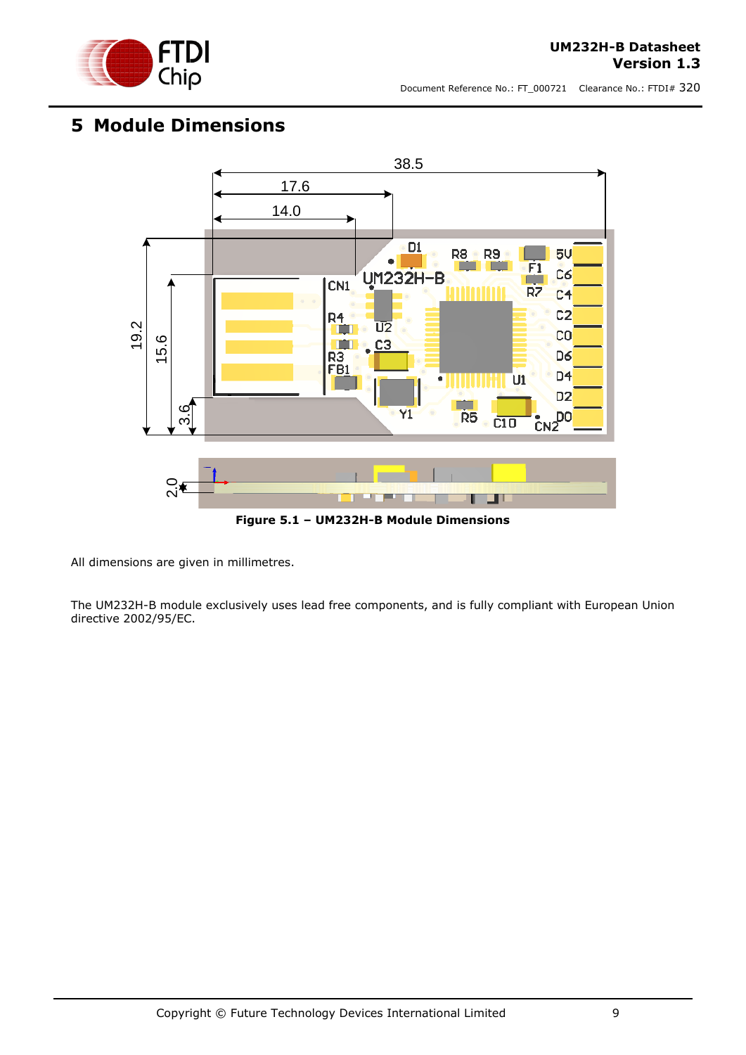

## <span id="page-8-0"></span>**5 Module Dimensions**



**Figure 5.1 – UM232H-B Module Dimensions**

<span id="page-8-1"></span>All dimensions are given in millimetres.

The UM232H-B module exclusively uses lead free components, and is fully compliant with European Union directive 2002/95/EC.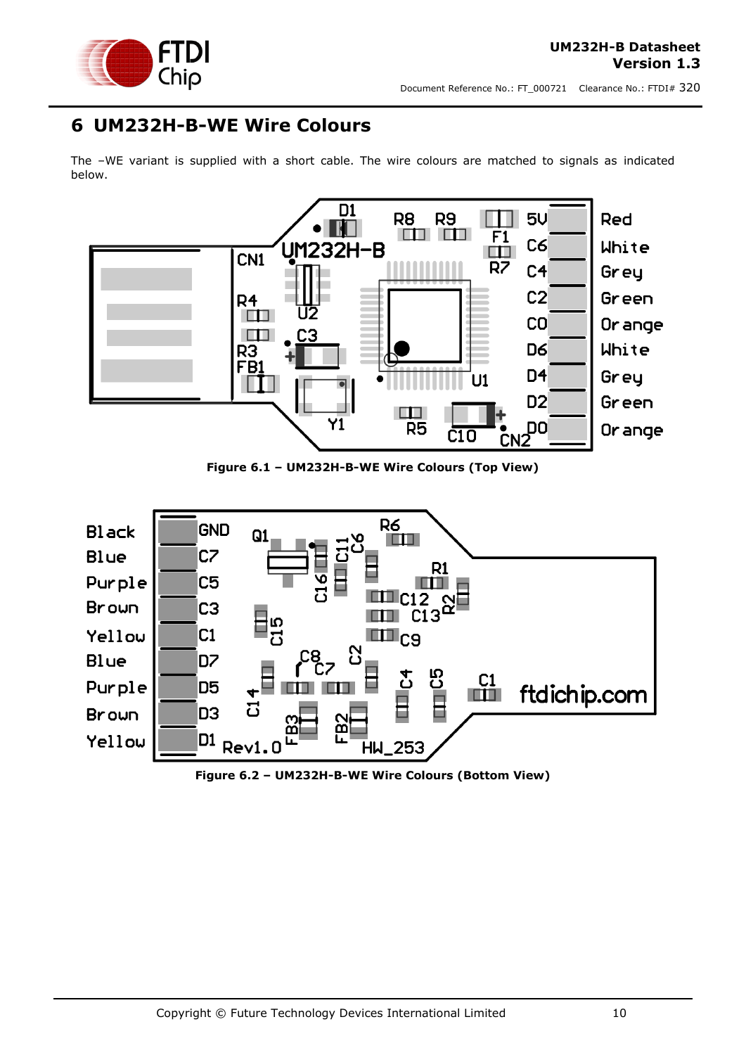

## <span id="page-9-0"></span>**6 UM232H-B-WE Wire Colours**

The –WE variant is supplied with a short cable. The wire colours are matched to signals as indicated below.



**Figure 6.1 – UM232H-B-WE Wire Colours (Top View)**

<span id="page-9-1"></span>

<span id="page-9-2"></span>**Figure 6.2 – UM232H-B-WE Wire Colours (Bottom View)**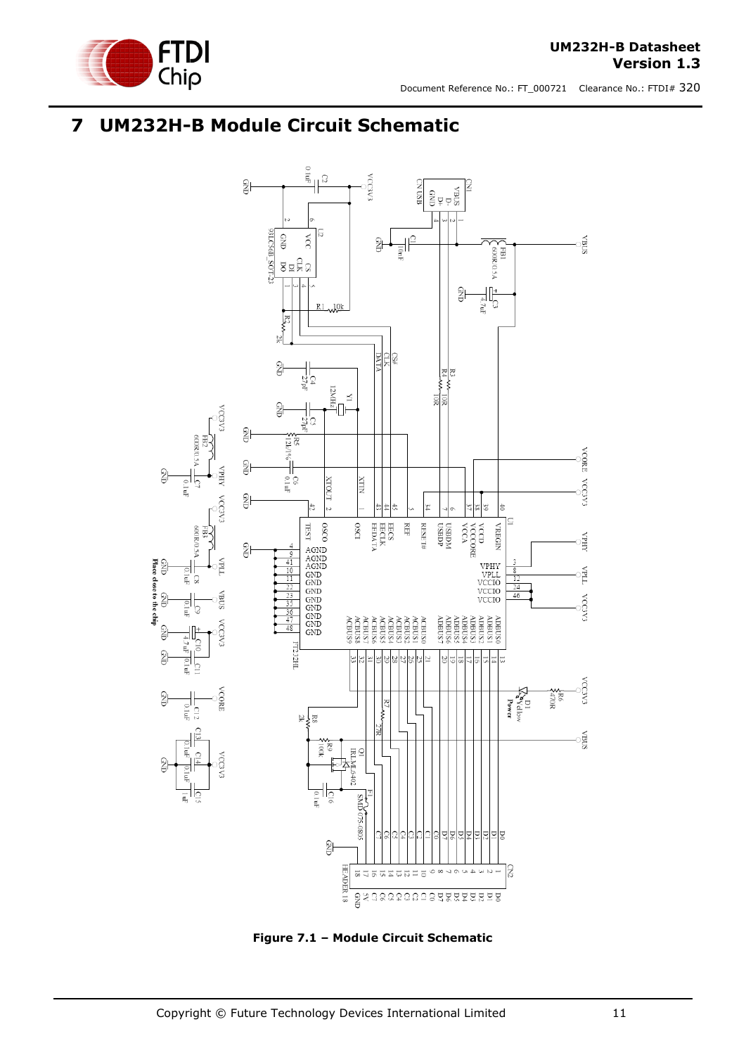



## <span id="page-10-0"></span>**7 UM232H-B Module Circuit Schematic**



<span id="page-10-1"></span>**Figure 7.1 – Module Circuit Schematic**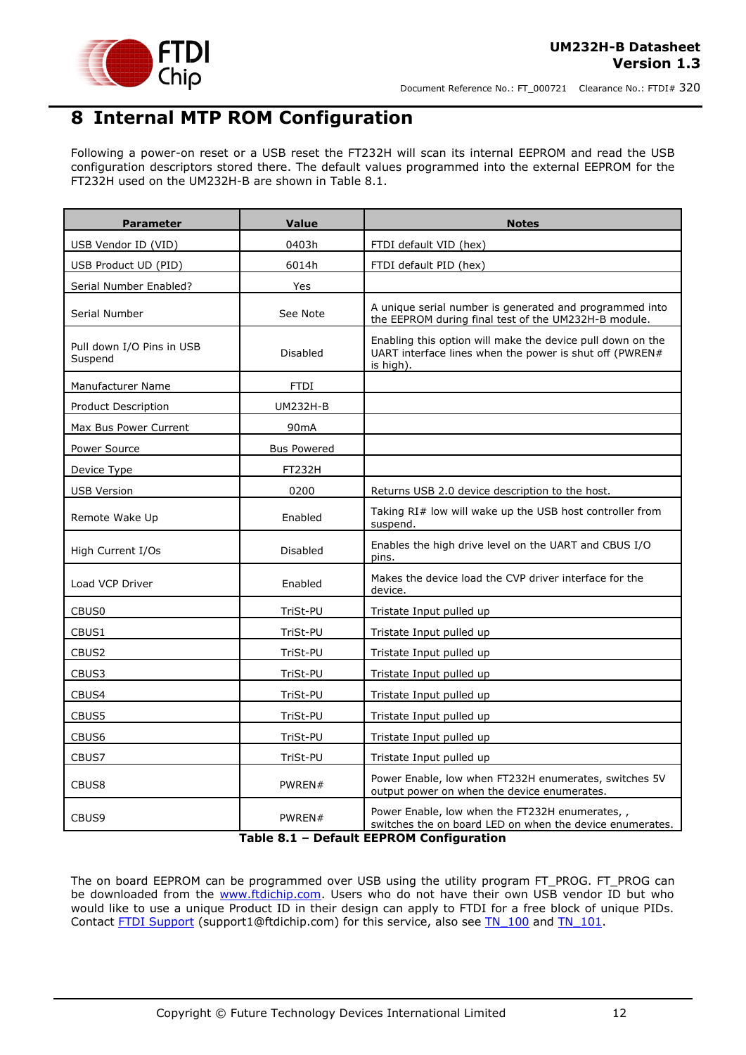

## <span id="page-11-0"></span>**8 Internal MTP ROM Configuration**

Following a power-on reset or a USB reset the FT232H will scan its internal EEPROM and read the USB configuration descriptors stored there. The default values programmed into the external EEPROM for the FT232H used on the UM232H-B are shown in Table 8.1.

| <b>Parameter</b>                     | <b>Value</b>       | <b>Notes</b>                                                                                                                       |  |
|--------------------------------------|--------------------|------------------------------------------------------------------------------------------------------------------------------------|--|
| USB Vendor ID (VID)                  | 0403h              | FTDI default VID (hex)                                                                                                             |  |
| USB Product UD (PID)                 | 6014h              | FTDI default PID (hex)                                                                                                             |  |
| Serial Number Enabled?               | Yes                |                                                                                                                                    |  |
| Serial Number                        | See Note           | A unique serial number is generated and programmed into<br>the EEPROM during final test of the UM232H-B module.                    |  |
| Pull down I/O Pins in USB<br>Suspend | Disabled           | Enabling this option will make the device pull down on the<br>UART interface lines when the power is shut off (PWREN#<br>is high). |  |
| Manufacturer Name                    | <b>FTDI</b>        |                                                                                                                                    |  |
| <b>Product Description</b>           | <b>UM232H-B</b>    |                                                                                                                                    |  |
| Max Bus Power Current                | 90 <sub>m</sub> A  |                                                                                                                                    |  |
| Power Source                         | <b>Bus Powered</b> |                                                                                                                                    |  |
| Device Type                          | FT232H             |                                                                                                                                    |  |
| <b>USB Version</b>                   | 0200               | Returns USB 2.0 device description to the host.                                                                                    |  |
| Enabled<br>Remote Wake Up            |                    | Taking RI# low will wake up the USB host controller from<br>suspend.                                                               |  |
| High Current I/Os<br>Disabled        |                    | Enables the high drive level on the UART and CBUS I/O<br>pins.                                                                     |  |
| Load VCP Driver<br>Enabled           |                    | Makes the device load the CVP driver interface for the<br>device.                                                                  |  |
| CBUS <sub>0</sub>                    | TriSt-PU           | Tristate Input pulled up                                                                                                           |  |
| CBUS1                                | TriSt-PU           | Tristate Input pulled up                                                                                                           |  |
| CBUS2                                | TriSt-PU           | Tristate Input pulled up                                                                                                           |  |
| CBUS3                                | TriSt-PU           | Tristate Input pulled up                                                                                                           |  |
| CBUS4                                | TriSt-PU           | Tristate Input pulled up                                                                                                           |  |
| CBUS5                                | TriSt-PU           | Tristate Input pulled up                                                                                                           |  |
| CBUS6                                | TriSt-PU           | Tristate Input pulled up                                                                                                           |  |
| CBUS7                                | TriSt-PU           | Tristate Input pulled up                                                                                                           |  |
| CBUS8                                | PWREN#             | Power Enable, low when FT232H enumerates, switches 5V<br>output power on when the device enumerates.                               |  |
| CBUS9                                | PWREN#             | Power Enable, low when the FT232H enumerates, ,<br>switches the on board LED on when the device enumerates.                        |  |

**Table 8.1 – Default EEPROM Configuration**

<span id="page-11-1"></span>The on board EEPROM can be programmed over USB using the utility program FT\_PROG. FT\_PROG can be downloaded from the [www.ftdichip.com.](http://www.ftdichip.com/) Users who do not have their own USB vendor ID but who would like to use a unique Product ID in their design can apply to FTDI for a free block of unique PIDs. Contact [FTDI Support](mailto:support1@ftdichip.com?subject=UM232R%20Free%20Block%20of%20Unique%20PIDs) (support1@ftdichip.com) for this service, also see [TN\\_100](http://www.ftdichip.com/Support/Documents/TechnicalNotes/TN_100_USB_VID-PID_Guidelines.pdf) and [TN\\_101.](http://www.ftdichip.com/Support/Documents/TechnicalNotes/TN_104_Guide%20to%20Debugging_Customers_Failed_Driver_%20Installation_%20on_%20Windows.pdf)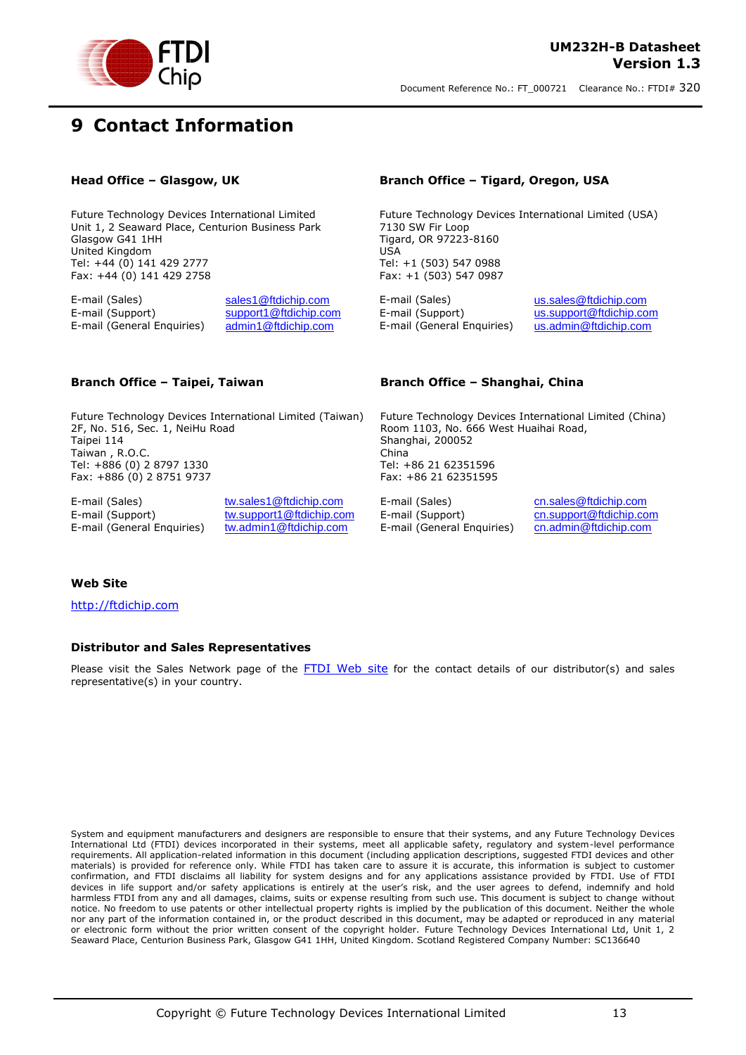

## <span id="page-12-0"></span>**9 Contact Information**

Future Technology Devices International Limited Unit 1, 2 Seaward Place, Centurion Business Park Glasgow G41 1HH United Kingdom Tel: +44 (0) 141 429 2777 Fax: +44 (0) 141 429 2758

E-mail (Sales) [sales1@ftdichip.com](mailto:sales1@ftdichip.com) E-mail (Sales) [us.sales@ftdichip.com](mailto:us.sales@ftdichip.com) E-mail (Sales) us.sales@ftdichip.com E-mail (Support) us.support@ftdichip.co E-mail (General Enquiries) [admin1@ftdichip.com](mailto:admin1@ftdichip.com) E-mail (General Enquiries) [us.admin@ftdichip.com](mailto:us.admin@ftdichip.com)

#### **Head Office – Glasgow, UK Branch Office – Tigard, Oregon, USA**

Future Technology Devices International Limited (USA) 7130 SW Fir Loop Tigard, OR 97223-8160 USA Tel: +1 (503) 547 0988 Fax: +1 (503) 547 0987

[us.support@ftdichip.com](mailto:us.support@ftdichip.com)

Future Technology Devices International Limited (Taiwan) 2F, No. 516, Sec. 1, NeiHu Road Taipei 114 Taiwan , R.O.C. Tel: +886 (0) 2 8797 1330 Fax: +886 (0) 2 8751 9737

E-mail (Support) [tw.support1@ftdichip.com](mailto:tw.support1@ftdichip.com) E-mail (Support) [cn.support@ftdichip.com](mailto:cn.support@ftdichip.com)<br>E-mail (General Enquiries) tw.admin1@ftdichip.com E-mail (General Enquiries) cn.admin@ftdichip.com E-mail (General Enquiries) [tw.admin1@ftdichip.com](mailto:tw.admin1@ftdichip.com) E-mail (General Enquiries)

E-mail (Sales) twww.sales1@ftdichip.com E-mail (Sales) [cn.sales@ftdichip.com](mailto:cn.sales@ftdichip.com) E-mail (Sales) cn.sales@ftdichip.com<br>E-mail (Support) tw.support1@ftdichip.com E-mail (Support) cn.support@ftdichip.com

#### **Branch Office – Taipei, Taiwan Branch Office – Shanghai, China**

Future Technology Devices International Limited (China) Room 1103, No. 666 West Huaihai Road, Shanghai, 200052 China Tel: +86 21 62351596 Fax: +86 21 62351595

#### **Web Site**

[http://ftdichip.com](http://ftdichip.com/)

#### **Distributor and Sales Representatives**

Please visit the Sales Network page of the [FTDI Web site](http://ftdichip.com/FTSalesNetwork.htm) for the contact details of our distributor(s) and sales representative(s) in your country.

System and equipment manufacturers and designers are responsible to ensure that their systems, and any Future Technology Devices International Ltd (FTDI) devices incorporated in their systems, meet all applicable safety, regulatory and system-level performance requirements. All application-related information in this document (including application descriptions, suggested FTDI devices and other materials) is provided for reference only. While FTDI has taken care to assure it is accurate, this information is subject to customer confirmation, and FTDI disclaims all liability for system designs and for any applications assistance provided by FTDI. Use of FTDI devices in life support and/or safety applications is entirely at the user's risk, and the user agrees to defend, indemnify and hold harmless FTDI from any and all damages, claims, suits or expense resulting from such use. This document is subject to change without notice. No freedom to use patents or other intellectual property rights is implied by the publication of this document. Neither the whole nor any part of the information contained in, or the product described in this document, may be adapted or reproduced in any material or electronic form without the prior written consent of the copyright holder. Future Technology Devices International Ltd, Unit 1, 2 Seaward Place, Centurion Business Park, Glasgow G41 1HH, United Kingdom. Scotland Registered Company Number: SC136640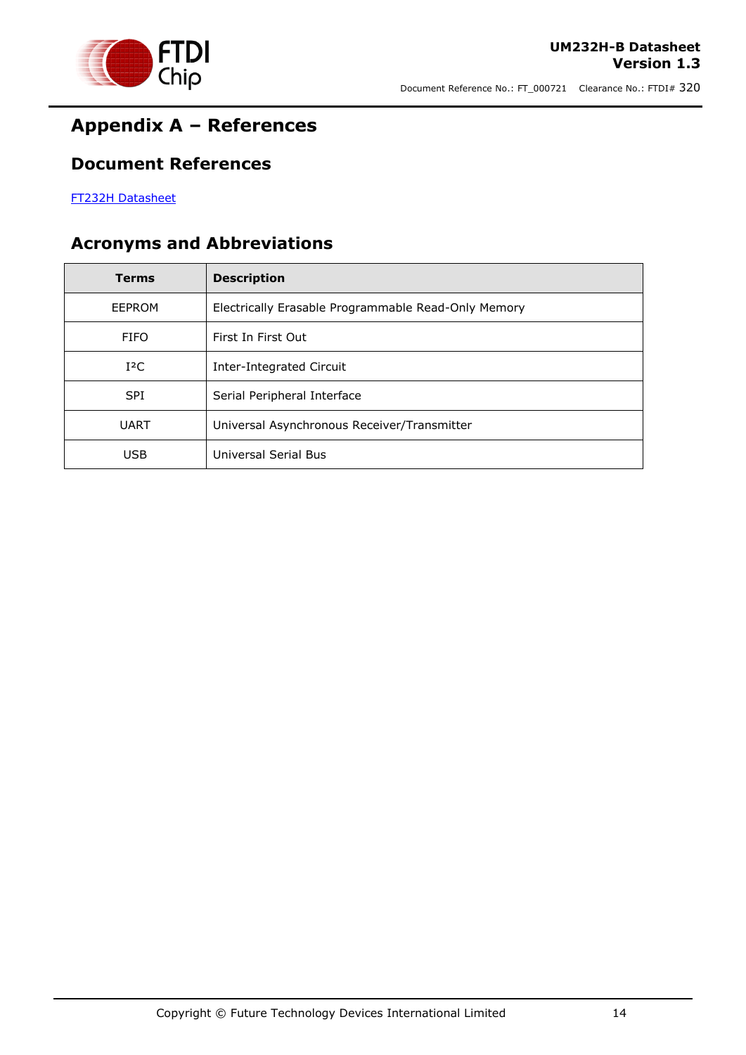

## <span id="page-13-0"></span>**Appendix A – References**

#### <span id="page-13-1"></span>**Document References**

[FT232H Datasheet](http://www.ftdichip.com/Support/Documents/DataSheets/ICs/DS_FT232H.pdf)

## <span id="page-13-2"></span>**Acronyms and Abbreviations**

| <b>Terms</b> | <b>Description</b>                                  |
|--------------|-----------------------------------------------------|
| EEPROM       | Electrically Erasable Programmable Read-Only Memory |
| <b>FIFO</b>  | First In First Out                                  |
| $I^2C$       | Inter-Integrated Circuit                            |
| <b>SPI</b>   | Serial Peripheral Interface                         |
| <b>UART</b>  | Universal Asynchronous Receiver/Transmitter         |
| <b>USB</b>   | Universal Serial Bus                                |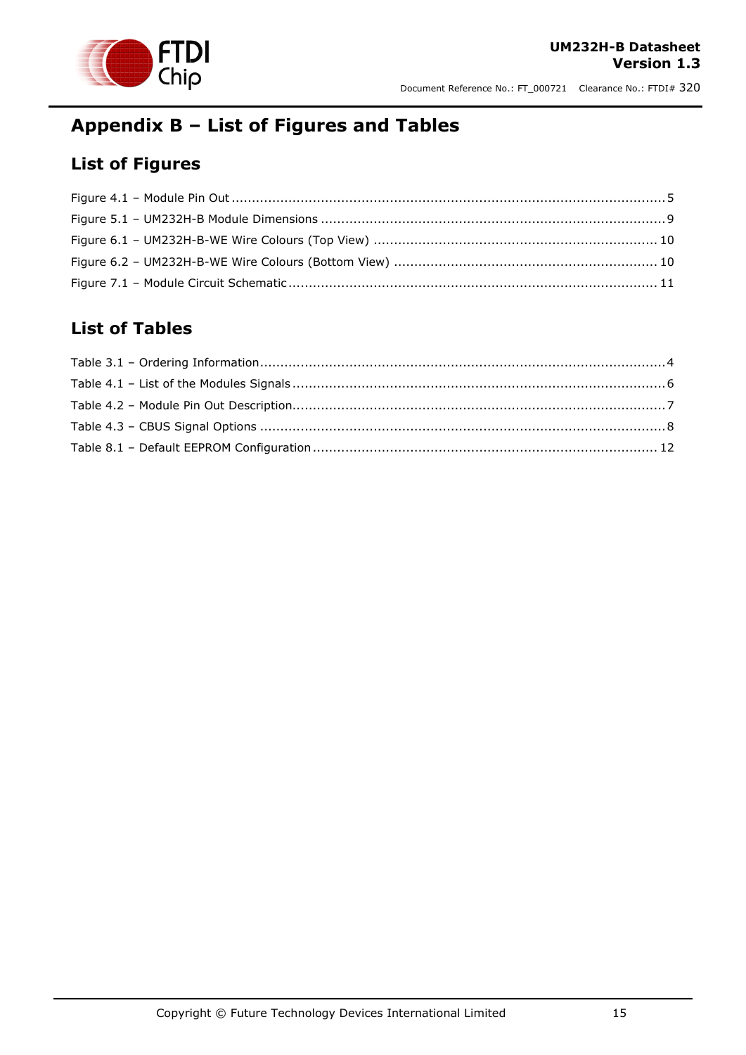

Document Reference No.: FT\_000721 Clearance No.: FTDI# 320

## <span id="page-14-0"></span>**Appendix B – List of Figures and Tables**

## <span id="page-14-1"></span>**List of Figures**

#### <span id="page-14-2"></span>**List of Tables**